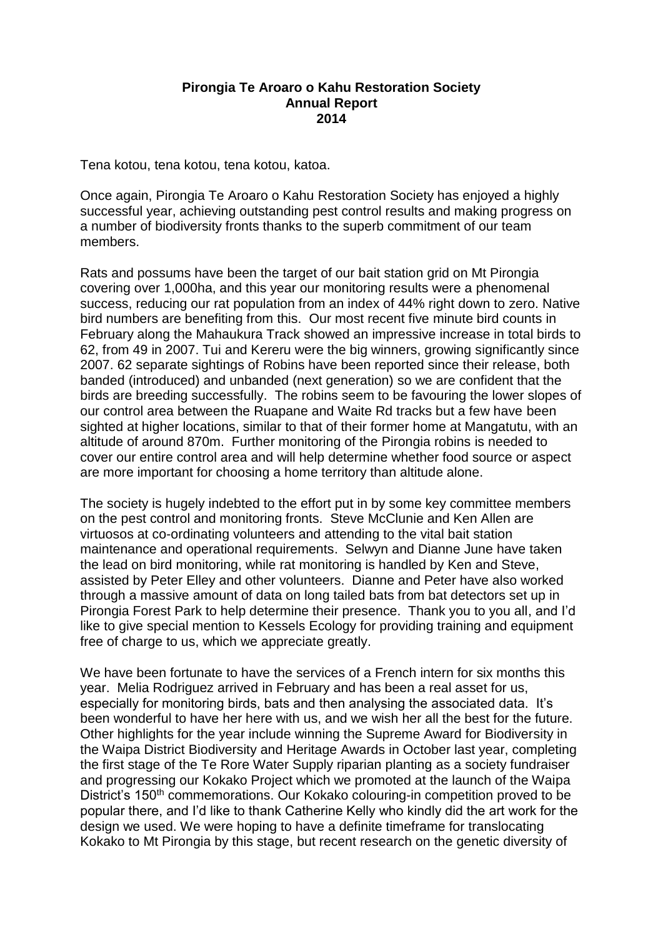## **Pirongia Te Aroaro o Kahu Restoration Society Annual Report 2014**

Tena kotou, tena kotou, tena kotou, katoa.

Once again, Pirongia Te Aroaro o Kahu Restoration Society has enjoyed a highly successful year, achieving outstanding pest control results and making progress on a number of biodiversity fronts thanks to the superb commitment of our team members.

Rats and possums have been the target of our bait station grid on Mt Pirongia covering over 1,000ha, and this year our monitoring results were a phenomenal success, reducing our rat population from an index of 44% right down to zero. Native bird numbers are benefiting from this. Our most recent five minute bird counts in February along the Mahaukura Track showed an impressive increase in total birds to 62, from 49 in 2007. Tui and Kereru were the big winners, growing significantly since 2007. 62 separate sightings of Robins have been reported since their release, both banded (introduced) and unbanded (next generation) so we are confident that the birds are breeding successfully. The robins seem to be favouring the lower slopes of our control area between the Ruapane and Waite Rd tracks but a few have been sighted at higher locations, similar to that of their former home at Mangatutu, with an altitude of around 870m. Further monitoring of the Pirongia robins is needed to cover our entire control area and will help determine whether food source or aspect are more important for choosing a home territory than altitude alone.

The society is hugely indebted to the effort put in by some key committee members on the pest control and monitoring fronts. Steve McClunie and Ken Allen are virtuosos at co-ordinating volunteers and attending to the vital bait station maintenance and operational requirements. Selwyn and Dianne June have taken the lead on bird monitoring, while rat monitoring is handled by Ken and Steve, assisted by Peter Elley and other volunteers. Dianne and Peter have also worked through a massive amount of data on long tailed bats from bat detectors set up in Pirongia Forest Park to help determine their presence. Thank you to you all, and I'd like to give special mention to Kessels Ecology for providing training and equipment free of charge to us, which we appreciate greatly.

We have been fortunate to have the services of a French intern for six months this year. Melia Rodriguez arrived in February and has been a real asset for us, especially for monitoring birds, bats and then analysing the associated data. It's been wonderful to have her here with us, and we wish her all the best for the future. Other highlights for the year include winning the Supreme Award for Biodiversity in the Waipa District Biodiversity and Heritage Awards in October last year, completing the first stage of the Te Rore Water Supply riparian planting as a society fundraiser and progressing our Kokako Project which we promoted at the launch of the Waipa District's 150<sup>th</sup> commemorations. Our Kokako colouring-in competition proved to be popular there, and I'd like to thank Catherine Kelly who kindly did the art work for the design we used. We were hoping to have a definite timeframe for translocating Kokako to Mt Pirongia by this stage, but recent research on the genetic diversity of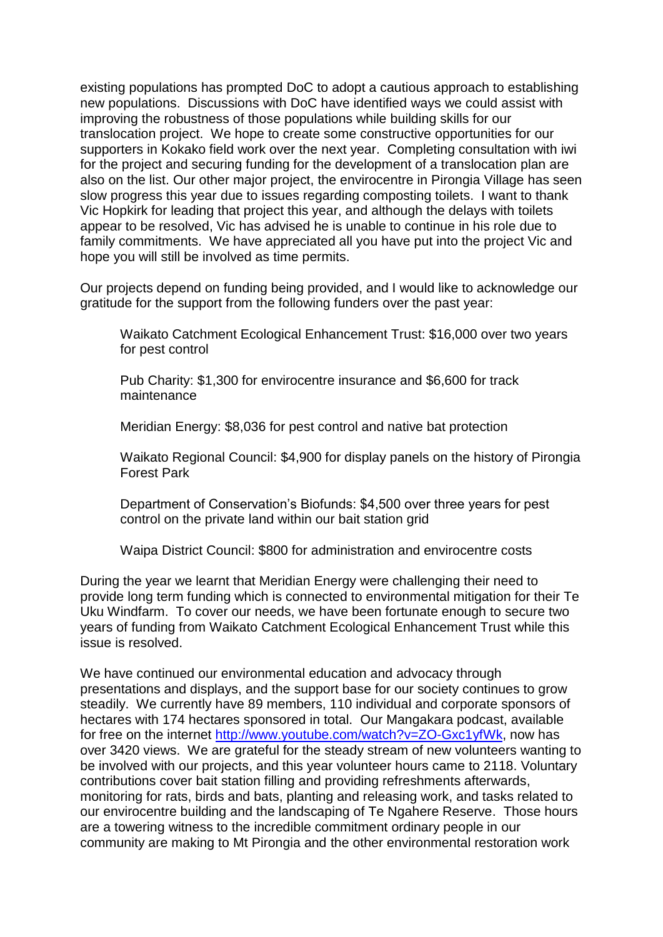existing populations has prompted DoC to adopt a cautious approach to establishing new populations. Discussions with DoC have identified ways we could assist with improving the robustness of those populations while building skills for our translocation project. We hope to create some constructive opportunities for our supporters in Kokako field work over the next year. Completing consultation with iwi for the project and securing funding for the development of a translocation plan are also on the list. Our other major project, the envirocentre in Pirongia Village has seen slow progress this year due to issues regarding composting toilets. I want to thank Vic Hopkirk for leading that project this year, and although the delays with toilets appear to be resolved, Vic has advised he is unable to continue in his role due to family commitments. We have appreciated all you have put into the project Vic and hope you will still be involved as time permits.

Our projects depend on funding being provided, and I would like to acknowledge our gratitude for the support from the following funders over the past year:

Waikato Catchment Ecological Enhancement Trust: \$16,000 over two years for pest control

Pub Charity: \$1,300 for envirocentre insurance and \$6,600 for track maintenance

Meridian Energy: \$8,036 for pest control and native bat protection

Waikato Regional Council: \$4,900 for display panels on the history of Pirongia Forest Park

Department of Conservation's Biofunds: \$4,500 over three years for pest control on the private land within our bait station grid

Waipa District Council: \$800 for administration and envirocentre costs

During the year we learnt that Meridian Energy were challenging their need to provide long term funding which is connected to environmental mitigation for their Te Uku Windfarm. To cover our needs, we have been fortunate enough to secure two years of funding from Waikato Catchment Ecological Enhancement Trust while this issue is resolved.

We have continued our environmental education and advocacy through presentations and displays, and the support base for our society continues to grow steadily. We currently have 89 members, 110 individual and corporate sponsors of hectares with 174 hectares sponsored in total. Our Mangakara podcast, available for free on the internet [http://www.youtube.com/watch?v=ZO-Gxc1yfWk,](http://www.youtube.com/watch?v=ZO-Gxc1yfWk) now has over 3420 views. We are grateful for the steady stream of new volunteers wanting to be involved with our projects, and this year volunteer hours came to 2118. Voluntary contributions cover bait station filling and providing refreshments afterwards, monitoring for rats, birds and bats, planting and releasing work, and tasks related to our envirocentre building and the landscaping of Te Ngahere Reserve. Those hours are a towering witness to the incredible commitment ordinary people in our community are making to Mt Pirongia and the other environmental restoration work